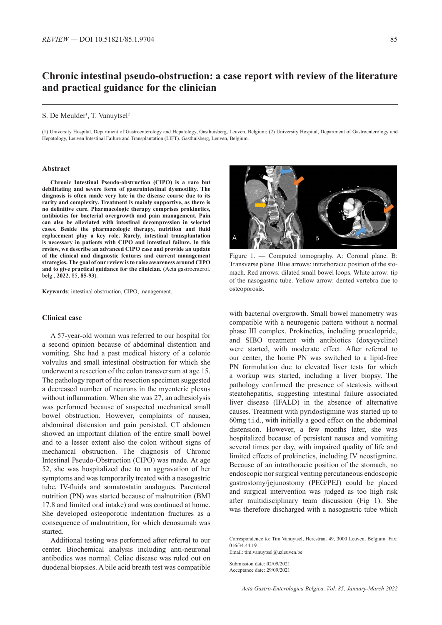# **Chronic intestinal pseudo-obstruction: a case report with review of the literature and practical guidance for the clinician**

#### S. De Meulder<sup>1</sup>, T. Vanuytsel<sup>2</sup>

(1) University Hospital, Department of Gastroenterology and Hepatology, Gasthuisberg, Leuven, Belgium; (2) University Hospital, Department of Gastroenterology and Hepatology, Leuven Intestinal Failure and Transplantation (LIFT). Gasthuisberg, Leuven, Belgium.

### **Abstract**

**Chronic Intestinal Pseudo-obstruction (CIPO) is a rare but debilitating and severe form of gastrointestinal dysmotility. The diagnosis is often made very late in the disease course due to its rarity and complexity. Treatment is mainly supportive, as there is no definitive cure. Pharmacologic therapy comprises prokinetics, antibiotics for bacterial overgrowth and pain management. Pain can also be alleviated with intestinal decompression in selected cases. Beside the pharmacologic therapy, nutrition and fluid replacement play a key role. Rarely, intestinal transplantation is necessary in patients with CIPO and intestinal failure. In this review, we describe an advanced CIPO case and provide an update of the clinical and diagnostic features and current management strategies. The goal of our review is to raise awareness around CIPO**  and to give practical guidance for the clinician. **(Acta gastroenterol.** belg., **2022,** 85, **85-93**).

**Keywords**: intestinal obstruction, CIPO, management.

# **Clinical case**

A 57-year-old woman was referred to our hospital for a second opinion because of abdominal distention and vomiting. She had a past medical history of a colonic volvulus and small intestinal obstruction for which she underwent a resection of the colon transversum at age 15. The pathology report of the resection specimen suggested a decreased number of neurons in the myenteric plexus without inflammation. When she was 27, an adhesiolysis was performed because of suspected mechanical small bowel obstruction. However, complaints of nausea, abdominal distension and pain persisted. CT abdomen showed an important dilation of the entire small bowel and to a lesser extent also the colon without signs of mechanical obstruction. The diagnosis of Chronic Intestinal Pseudo-Obstruction (CIPO) was made. At age 52, she was hospitalized due to an aggravation of her symptoms and was temporarily treated with a nasogastric tube, IV-fluids and somatostatin analogues. Parenteral nutrition (PN) was started because of malnutrition (BMI 17.8 and limited oral intake) and was continued at home. She developed osteoporotic indentation fractures as a consequence of malnutrition, for which denosumab was started.

Additional testing was performed after referral to our center. Biochemical analysis including anti-neuronal antibodies was normal. Celiac disease was ruled out on duodenal biopsies. A bile acid breath test was compatible



Figure 1. — Computed tomography. A: Coronal plane. B: Transverse plane. Blue arrows: intrathoracic position of the stomach. Red arrows: dilated small bowel loops. White arrow: tip of the nasogastric tube. Yellow arrow: dented vertebra due to osteoporosis.

with bacterial overgrowth. Small bowel manometry was compatible with a neurogenic pattern without a normal phase III complex. Prokinetics, including prucalopride, and SIBO treatment with antibiotics (doxycycline) were started, with moderate effect. After referral to our center, the home PN was switched to a lipid-free PN formulation due to elevated liver tests for which a workup was started, including a liver biopsy. The pathology confirmed the presence of steatosis without steatohepatitis, suggesting intestinal failure associated liver disease (IFALD) in the absence of alternative causes. Treatment with pyridostigmine was started up to 60mg t.i.d., with initially a good effect on the abdominal distension. However, a few months later, she was hospitalized because of persistent nausea and vomiting several times per day, with impaired quality of life and limited effects of prokinetics, including IV neostigmine. Because of an intrathoracic position of the stomach, no endoscopic nor surgical venting percutaneous endoscopic gastrostomy/jejunostomy (PEG/PEJ) could be placed and surgical intervention was judged as too high risk after multidisciplinary team discussion (Fig 1). She was therefore discharged with a nasogastric tube which

Correspondence to: Tim Vanuytsel, Herestraat 49, 3000 Leuven, Belgium. Fax: 016/34.44.19. Email: tim.vanuytsel@uzleuven.be

Submission date: 02/09/2021 Acceptance date: 29/09/2021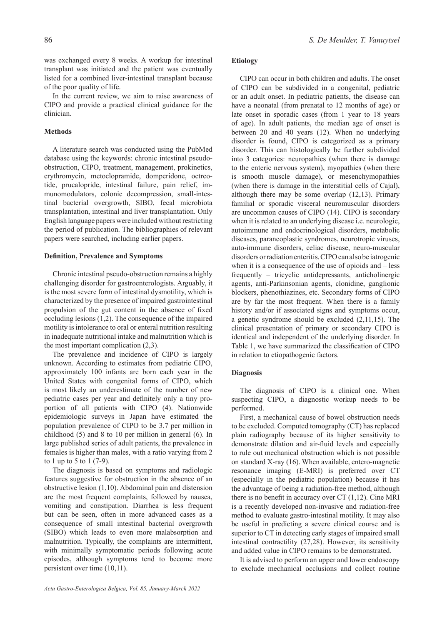was exchanged every 8 weeks. A workup for intestinal transplant was initiated and the patient was eventually listed for a combined liver-intestinal transplant because of the poor quality of life.

In the current review, we aim to raise awareness of CIPO and provide a practical clinical guidance for the clinician.

### **Methods**

A literature search was conducted using the PubMed database using the keywords: chronic intestinal pseudoobstruction, CIPO, treatment, management, prokinetics, erythromycin, metoclopramide, domperidone, octreotide, prucalopride, intestinal failure, pain relief, immunomodulators, colonic decompression, small-intestinal bacterial overgrowth, SIBO, fecal microbiota transplantation, intestinal and liver transplantation. Only English language papers were included without restricting the period of publication. The bibliographies of relevant papers were searched, including earlier papers.

# **Definition, Prevalence and Symptoms**

Chronic intestinal pseudo-obstruction remains a highly challenging disorder for gastroenterologists. Arguably, it is the most severe form of intestinal dysmotility, which is characterized by the presence of impaired gastrointestinal propulsion of the gut content in the absence of fixed occluding lesions (1,2). The consequence of the impaired motility is intolerance to oral or enteral nutrition resulting in inadequate nutritional intake and malnutrition which is the most important complication (2,3).

The prevalence and incidence of CIPO is largely unknown. According to estimates from pediatric CIPO, approximately 100 infants are born each year in the United States with congenital forms of CIPO, which is most likely an underestimate of the number of new pediatric cases per year and definitely only a tiny proportion of all patients with CIPO (4). Nationwide epidemiologic surveys in Japan have estimated the population prevalence of CIPO to be 3.7 per million in childhood (5) and 8 to 10 per million in general (6). In large published series of adult patients, the prevalence in females is higher than males, with a ratio varying from 2 to 1 up to 5 to 1 (7-9).

The diagnosis is based on symptoms and radiologic features suggestive for obstruction in the absence of an obstructive lesion (1,10). Abdominal pain and distension are the most frequent complaints, followed by nausea, vomiting and constipation. Diarrhea is less frequent but can be seen, often in more advanced cases as a consequence of small intestinal bacterial overgrowth (SIBO) which leads to even more malabsorption and malnutrition. Typically, the complaints are intermittent, with minimally symptomatic periods following acute episodes, although symptoms tend to become more persistent over time (10,11).

# **Etiology**

CIPO can occur in both children and adults. The onset of CIPO can be subdivided in a congenital, pediatric or an adult onset. In pediatric patients, the disease can have a neonatal (from prenatal to 12 months of age) or late onset in sporadic cases (from 1 year to 18 years of age). In adult patients, the median age of onset is between 20 and 40 years (12). When no underlying disorder is found, CIPO is categorized as a primary disorder. This can histologically be further subdivided into 3 categories: neuropathies (when there is damage to the enteric nervous system), myopathies (when there is smooth muscle damage), or mesenchymopathies (when there is damage in the interstitial cells of Cajal), although there may be some overlap (12,13). Primary familial or sporadic visceral neuromuscular disorders are uncommon causes of CIPO (14). CIPO is secondary when it is related to an underlying disease i.e. neurologic, autoimmune and endocrinological disorders, metabolic diseases, paraneoplastic syndromes, neurotropic viruses, auto-immune disorders, celiac disease, neuro-muscular disorders or radiation enteritis. CIPO can also be iatrogenic when it is a consequence of the use of opioids and – less frequently – tricyclic antidepressants, anticholinergic agents, anti-Parkinsonian agents, clonidine, ganglionic blockers, phenothiazines, etc. Secondary forms of CIPO are by far the most frequent. When there is a family history and/or if associated signs and symptoms occur, a genetic syndrome should be excluded (2,11,15). The clinical presentation of primary or secondary CIPO is identical and independent of the underlying disorder. In Table 1, we have summarized the classification of CIPO in relation to etiopathogenic factors.

## **Diagnosis**

The diagnosis of CIPO is a clinical one. When suspecting CIPO, a diagnostic workup needs to be performed.

First, a mechanical cause of bowel obstruction needs to be excluded. Computed tomography (CT) has replaced plain radiography because of its higher sensitivity to demonstrate dilation and air-fluid levels and especially to rule out mechanical obstruction which is not possible on standard X-ray (16). When available, entero-magnetic resonance imaging (E-MRI) is preferred over CT (especially in the pediatric population) because it has the advantage of being a radiation-free method, although there is no benefit in accuracy over CT (1,12). Cine MRI is a recently developed non-invasive and radiation-free method to evaluate gastro-intestinal motility. It may also be useful in predicting a severe clinical course and is superior to CT in detecting early stages of impaired small intestinal contractility (27,28). However, its sensitivity and added value in CIPO remains to be demonstrated.

It is advised to perform an upper and lower endoscopy to exclude mechanical occlusions and collect routine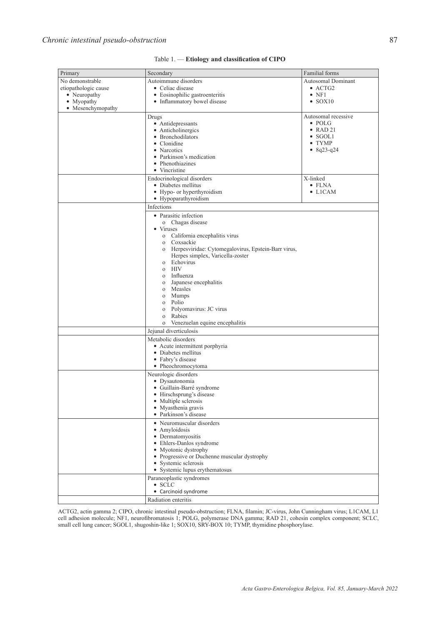| Primary              | Secondary                                                           | Familial forms                 |
|----------------------|---------------------------------------------------------------------|--------------------------------|
| No demonstrable      | Autoimmune disorders                                                | Autosomal Dominant             |
| etiopathologic cause | • Celiac disease                                                    | $\bullet$ ACTG2                |
| • Neuropathy         | • Eosinophilic gastroenteritis                                      | $\bullet$ NF1                  |
| • Myopathy           | • Inflammatory bowel disease                                        | $\bullet$ SOX10                |
| • Mesenchymopathy    |                                                                     |                                |
|                      | Drugs                                                               | Autosomal recessive            |
|                      | • Antidepressants                                                   | $\bullet$ POLG                 |
|                      | • Anticholinergics                                                  | $\bullet$ RAD 21               |
|                      | • Bronchodilators                                                   | $\bullet$ SGOL1                |
|                      | • Clonidine<br>• Narcotics                                          | $\bullet$ TYMP<br>• $8q23-q24$ |
|                      | • Parkinson's medication                                            |                                |
|                      | • Phenothiazines                                                    |                                |
|                      | • Vincristine                                                       |                                |
|                      | Endocrinological disorders                                          | X-linked                       |
|                      | • Diabetes mellitus                                                 | $\bullet$ FLNA                 |
|                      | • Hypo- or hyperthyroidism                                          | $\bullet$ LICAM                |
|                      | • Hypoparathyroidism                                                |                                |
|                      | Infections                                                          |                                |
|                      | • Parasitic infection                                               |                                |
|                      | o Chagas disease                                                    |                                |
|                      | • Viruses                                                           |                                |
|                      | o California encephalitis virus                                     |                                |
|                      | Coxsackie<br>$\mathbf{O}$                                           |                                |
|                      | Herpesviridae: Cytomegalovirus, Epstein-Barr virus,<br>$\mathbf{O}$ |                                |
|                      | Herpes simplex, Varicella-zoster                                    |                                |
|                      | Echovirus<br>$\Omega$                                               |                                |
|                      | HIV<br>$\Omega$                                                     |                                |
|                      | Influenza<br>$\mathbf{O}$<br>Japanese encephalitis                  |                                |
|                      | $\mathbf{O}$<br>Measles<br>$\mathbf{O}$                             |                                |
|                      | <b>Mumps</b><br>$\mathbf{O}$                                        |                                |
|                      | Polio<br>$\mathbf{O}$                                               |                                |
|                      | Polyomavirus: JC virus<br>$\mathbf{O}$                              |                                |
|                      | Rabies<br>$\Omega$                                                  |                                |
|                      | Venezuelan equine encephalitis<br>$\mathbf{O}$                      |                                |
|                      | Jejunal diverticulosis                                              |                                |
|                      | Metabolic disorders                                                 |                                |
|                      | • Acute intermittent porphyria<br>• Diabetes mellitus               |                                |
|                      |                                                                     |                                |
|                      | • Fabry's disease                                                   |                                |
|                      | • Pheochromocytoma                                                  |                                |
|                      | Neurologic disorders                                                |                                |
|                      | · Dysautonomia                                                      |                                |
|                      | · Guillain-Barré syndrome<br>• Hirschsprung's disease               |                                |
|                      | • Multiple sclerosis                                                |                                |
|                      | • Myasthenia gravis                                                 |                                |
|                      | • Parkinson's disease                                               |                                |
|                      | • Neuromuscular disorders                                           |                                |
|                      | • Amyloidosis<br>• Dermatomyositis<br>• Ehlers-Danlos syndrome      |                                |
|                      |                                                                     |                                |
|                      |                                                                     |                                |
|                      | • Myotonic dystrophy                                                |                                |
|                      | • Progressive or Duchenne muscular dystrophy                        |                                |
|                      | • Systemic sclerosis                                                |                                |
|                      | • Systemic lupus erythematosus                                      |                                |
|                      | Paraneoplastic syndromes                                            |                                |
|                      | $\bullet$ SCLC<br>• Carcinoid syndrome                              |                                |
|                      |                                                                     |                                |
|                      | Radiation enteritis                                                 |                                |

| Table 1. - Etiology and classification of CIPO |  |
|------------------------------------------------|--|
|------------------------------------------------|--|

ACTG2, actin gamma 2; CIPO, chronic intestinal pseudo-obstruction; FLNA, filamin; JC-virus, John Cunningham virus; L1CAM, L1 cell adhesion molecule; NF1, neurofibromatosis 1; POLG, polymerase DNA gamma; RAD 21, cohesin complex component; SCLC, small cell lung cancer; SGOL1, shugoshin-like 1; SOX10, SRY-BOX 10; TYMP, thymidine phosphorylase.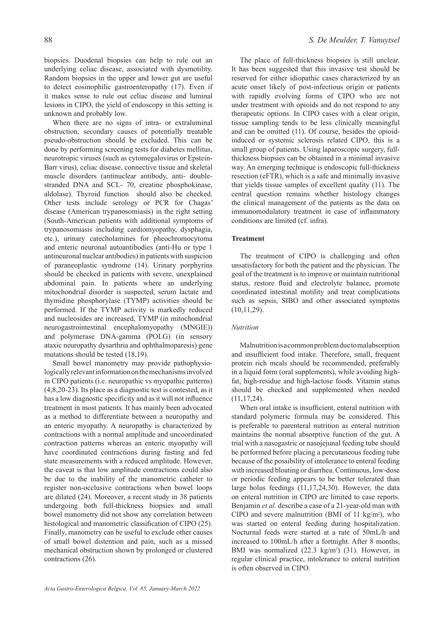biopsies. Duodenal biopsies can help to rule out an underlying celiac disease, associated with dysmotility. Random biopsies in the upper and lower gut are useful to detect eosinophilic gastroenteropathy (17). Even if it makes sense to rule out celiac disease and luminal lesions in CIPO, the yield of endoscopy in this setting is unknown and probably low.

When there are no signs of intra- or extraluminal obstruction, secondary causes of potentially treatable pseudo-obstruction should be excluded. This can be done by performing screening tests for diabetes mellitus, neurotropic viruses (such as cytomegalovirus or Epstein-Barr virus), celiac disease, connective tissue and skeletal muscle disorders (antinuclear antibody, anti- doublestranded DNA and SCL- 70, creatine phosphokinase, aldolase). Thyroid function should also be checked. Other tests include serology or PCR for Chagas' disease (American trypanosomiasis) in the right setting (South-American patients with additional symptoms of trypanosomiasis including cardiomyopathy, dysphagia, etc.), urinary catecholamines for pheochromocytoma and enteric neuronal autoantibodies (anti-Hu or type 1 antineuronal nuclear antibodies) in patients with suspicion of paraneoplastic syndrome (14). Urinary porphyrins should be checked in patients with severe, unexplained abdominal pain. In patients where an underlying mitochondrial disorder is suspected, serum lactate and thymidine phosphorylase (TYMP) activities should be performed. If the TYMP activity is markedly reduced and nucleosides are increased, TYMP (in mitochondrial neurogastrointestinal encephalomyopathy (MNGIE)) and polymerase DNA-gamma (POLG) (in sensory ataxic neuropathy dysarthria and ophthalmoparesis) gene mutations should be tested (18,19).

Small bowel manometry may provide pathophysiologically relevant information on the mechanisms involved in CIPO patients (i.e. neuropathic vs myopathic patterns) (4,8,20-23). Its place as a diagnostic test is contested, as it has a low diagnostic specificity and as it will not influence treatment in most patients. It has mainly been advocated as a method to differentiate between a neuropathy and an enteric myopathy. A neuropathy is characterized by contractions with a normal amplitude and uncoordinated contraction patterns whereas an enteric myopathy will have coordinated contractions during fasting and fed state measurements with a reduced amplitude. However, the caveat is that low amplitude contractions could also be due to the inability of the manometric catheter to register non-occlusive contractions when bowel loops are dilated (24). Moreover, a recent study in 38 patients undergoing both full-thickness biopsies and small bowel manometry did not show any correlation between histological and manometric classification of CIPO (25). Finally, manometry can be useful to exclude other causes of small bowel distention and pain, such as a missed mechanical obstruction shown by prolonged or clustered contractions (26).

The place of full-thickness biopsies is still unclear. It has been suggested that this invasive test should be reserved for either idiopathic cases characterized by an acute onset likely of post-infectious origin or patients with rapidly evolving forms of CIPO who are not under treatment with opioids and do not respond to any therapeutic options. In CIPO cases with a clear origin, tissue sampling tends to be less clinically meaningful and can be omitted (11). Of course, besides the opioidinduced or systemic sclerosis related CIPO, this is a small group of patients. Using laparoscopic surgery, fullthickness biopsies can be obtained in a minimal invasive way. An emerging technique is endoscopic full-thickness resection (eFTR), which is a safe and minimally invasive that yields tissue samples of excellent quality (11). The central question remains whether histology changes the clinical management of the patients as the data on immunomodulatory treatment in case of inflammatory conditions are limited (cf. infra).

### **Treatment**

The treatment of CIPO is challenging and often unsatisfactory for both the patient and the physician. The goal of the treatment is to improve or maintain nutritional status, restore fluid and electrolyte balance, promote coordinated intestinal motility and treat complications such as sepsis, SIBO and other associated symptoms (10,11,29).

### *Nutrition*

Malnutrition is a common problem due to malabsorption and insufficient food intake. Therefore, small, frequent protein rich meals should be recommended, preferably in a liquid form (oral supplements), while avoiding highfat, high-residue and high-lactose foods. Vitamin status should be checked and supplemented when needed (11,17,24).

When oral intake is insufficient, enteral nutrition with standard polymeric formula may be considered. This is preferable to parenteral nutrition as enteral nutrition maintains the normal absorptive function of the gut. A trial with a nasogastric or nasojejunal feeding tube should be performed before placing a percutaneous feeding tube because of the possibility of intolerance to enteral feeding with increased bloating or diarrhea. Continuous, low-dose or periodic feeding appears to be better tolerated than large bolus feedings (11,17,24,30). However, the data on enteral nutrition in CIPO are limited to case reports. Benjamin *et al.* describe a case of a 21-year-old man with CIPO and severe malnutrition (BMI of  $11 \text{ kg/m}^2$ ), who was started on enteral feeding during hospitalization. Nocturnal feeds were started at a rate of 50mL/h and increased to 100mL/h after a fortnight. After 8 months, BMI was normalized  $(22.3 \text{ kg/m}^2)$   $(31)$ . However, in regular clinical practice, intolerance to enteral nutrition is often observed in CIPO.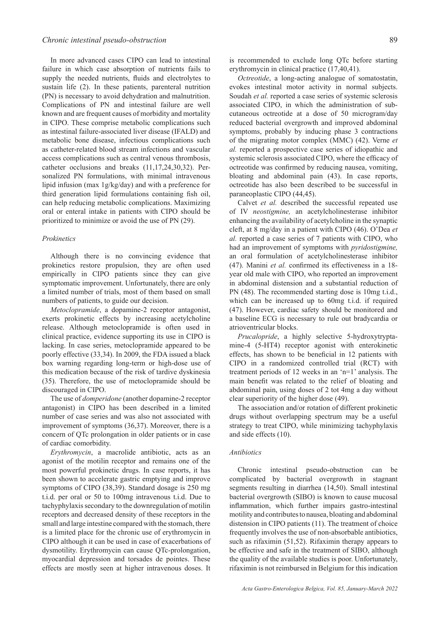In more advanced cases CIPO can lead to intestinal failure in which case absorption of nutrients fails to supply the needed nutrients, fluids and electrolytes to sustain life (2). In these patients, parenteral nutrition (PN) is necessary to avoid dehydration and malnutrition. Complications of PN and intestinal failure are well known and are frequent causes of morbidity and mortality in CIPO. These comprise metabolic complications such as intestinal failure-associated liver disease (IFALD) and metabolic bone disease, infectious complications such as catheter-related blood stream infections and vascular access complications such as central venous thrombosis, catheter occlusions and breaks (11,17,24,30,32). Personalized PN formulations, with minimal intravenous lipid infusion (max 1g/kg/day) and with a preference for third generation lipid formulations containing fish oil, can help reducing metabolic complications. Maximizing oral or enteral intake in patients with CIPO should be prioritized to minimize or avoid the use of PN (29).

### *Prokinetics*

Although there is no convincing evidence that prokinetics restore propulsion, they are often used empirically in CIPO patients since they can give symptomatic improvement. Unfortunately, there are only a limited number of trials, most of them based on small numbers of patients, to guide our decision.

*Metoclopramide*, a dopamine-2 receptor antagonist, exerts prokinetic effects by increasing acetylcholine release. Although metoclopramide is often used in clinical practice, evidence supporting its use in CIPO is lacking. In case series, metoclopramide appeared to be poorly effective (33,34). In 2009, the FDA issued a black box warning regarding long-term or high-dose use of this medication because of the risk of tardive dyskinesia (35). Therefore, the use of metoclopramide should be discouraged in CIPO.

The use of *domperidone* (another dopamine-2 receptor antagonist) in CIPO has been described in a limited number of case series and was also not associated with improvement of symptoms (36,37). Moreover, there is a concern of QTc prolongation in older patients or in case of cardiac comorbidity.

*Erythromycin*, a macrolide antibiotic, acts as an agonist of the motilin receptor and remains one of the most powerful prokinetic drugs. In case reports, it has been shown to accelerate gastric emptying and improve symptoms of CIPO (38,39). Standard dosage is 250 mg t.i.d. per oral or 50 to 100mg intravenous t.i.d. Due to tachyphylaxis secondary to the downregulation of motilin receptors and decreased density of these receptors in the small and large intestine compared with the stomach, there is a limited place for the chronic use of erythromycin in CIPO although it can be used in case of exacerbations of dysmotility. Erythromycin can cause QTc-prolongation, myocardial depression and torsades de pointes. These effects are mostly seen at higher intravenous doses. It

is recommended to exclude long QTc before starting erythromycin in clinical practice (17,40,41).

*Octreotide*, a long-acting analogue of somatostatin, evokes intestinal motor activity in normal subjects. Soudah *et al.* reported a case series of systemic sclerosis associated CIPO, in which the administration of subcutaneous octreotide at a dose of 50 microgram/day reduced bacterial overgrowth and improved abdominal symptoms, probably by inducing phase 3 contractions of the migrating motor complex (MMC) (42). Verne *et al.* reported a prospective case series of idiopathic and systemic sclerosis associated CIPO, where the efficacy of octreotide was confirmed by reducing nausea, vomiting, bloating and abdominal pain (43). In case reports, octreotide has also been described to be successful in paraneoplastic CIPO (44,45).

Calvet *et al.* described the successful repeated use of IV *neostigmine,* an acetylcholinesterase inhibitor enhancing the availability of acetylcholine in the synaptic cleft, at 8 mg/day in a patient with CIPO (46). O'Dea *et al.* reported a case series of 7 patients with CIPO, who had an improvement of symptoms with *pyridostigmine,* an oral formulation of acetylcholinesterase inhibitor (47). Manini *et al.* confirmed its effectiveness in a 18 year old male with CIPO, who reported an improvement in abdominal distension and a substantial reduction of PN (48). The recommended starting dose is 10mg t.i.d., which can be increased up to 60mg t.i.d. if required (47). However, cardiac safety should be monitored and a baseline ECG is necessary to rule out bradycardia or atrioventricular blocks.

*Prucalopride*, a highly selective 5-hydroxytryptamine-4 (5-HT4) receptor agonist with enterokinetic effects, has shown to be beneficial in 12 patients with CIPO in a randomized controlled trial (RCT) with treatment periods of 12 weeks in an 'n=1' analysis. The main benefit was related to the relief of bloating and abdominal pain, using doses of 2 tot 4mg a day without clear superiority of the higher dose (49).

The association and/or rotation of different prokinetic drugs without overlapping spectrum may be a useful strategy to treat CIPO, while minimizing tachyphylaxis and side effects (10).

#### *Antibiotics*

Chronic intestinal pseudo-obstruction can be complicated by bacterial overgrowth in stagnant segments resulting in diarrhea (14,50). Small intestinal bacterial overgrowth (SIBO) is known to cause mucosal inflammation, which further impairs gastro-intestinal motility and contributes to nausea, bloating and abdominal distension in CIPO patients (11). The treatment of choice frequently involves the use of non-absorbable antibiotics, such as rifaximin (51,52). Rifaximin therapy appears to be effective and safe in the treatment of SIBO, although the quality of the available studies is poor. Unfortunately, rifaximin is not reimbursed in Belgium for this indication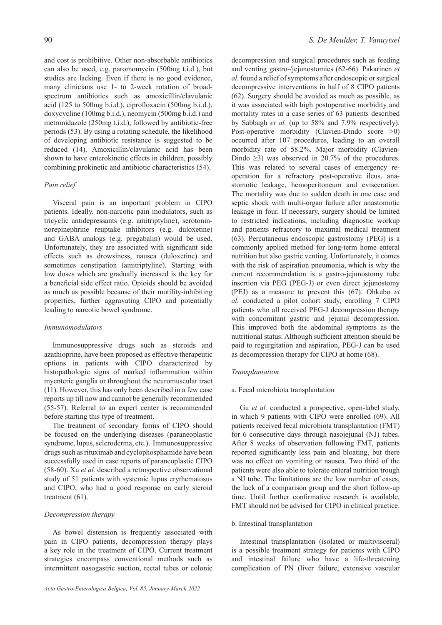and cost is prohibitive. Other non-absorbable antibiotics can also be used, e.g. paromomycin (500mg t.i.d.), but studies are lacking. Even if there is no good evidence, many clinicians use 1- to 2-week rotation of broadspectrum antibiotics such as amoxicillin/clavulanic acid (125 to 500mg b.i.d.), ciprofloxacin (500mg b.i.d.), doxycycline (100mg b.i.d.), neomycin (500mg b.i.d.) and metronidazole (250mg t.i.d.), followed by antibiotic-free periods (53). By using a rotating schedule, the likelihood of developing antibiotic resistance is suggested to be reduced (14). Amoxicillin/clavulanic acid has been shown to have enterokinetic effects in children, possibly combining prokinetic and antibiotic characteristics (54).

# *Pain relief*

Visceral pain is an important problem in CIPO patients. Ideally, non-narcotic pain modulators, such as tricyclic antidepressants (e.g. amitriptyline), serotoninnorepinephrine reuptake inhibitors (e.g. duloxetine) and GABA analogs (e.g. pregabalin) would be used. Unfortunately, they are associated with significant side effects such as drowsiness, nausea (duloxetine) and sometimes constipation (amitriptyline). Starting with low doses which are gradually increased is the key for a beneficial side effect ratio. Opioids should be avoided as much as possible because of their motility-inhibiting properties, further aggravating CIPO and potentially leading to narcotic bowel syndrome.

## *Immunomodulators*

Immunosuppressive drugs such as steroids and azathioprine, have been proposed as effective therapeutic options in patients with CIPO characterized by histopathologic signs of marked inflammation within myenteric ganglia or throughout the neuromuscular tract (11). However, this has only been described in a few case reports up till now and cannot be generally recommended (55-57). Referral to an expert center is recommended before starting this type of treatment.

The treatment of secondary forms of CIPO should be focused on the underlying diseases (paraneoplastic syndrome, lupus, scleroderma, etc.). Immunosuppressive drugs such as rituximab and cyclophosphamide have been successfully used in case reports of paraneoplastic CIPO (58-60). Xu *et al.* described a retrospective observational study of 51 patients with systemic lupus erythematosus and CIPO, who had a good response on early steroid treatment (61).

# *Decompression therapy*

As bowel distension is frequently associated with pain in CIPO patients, decompression therapy plays a key role in the treatment of CIPO. Current treatment strategies encompass conventional methods such as intermittent nasogastric suction, rectal tubes or colonic

decompression and surgical procedures such as feeding and venting gastro-/jejunostomies (62-66). Pakarinen *et al.* found a relief of symptoms after endoscopic or surgical decompressive interventions in half of 8 CIPO patients (62). Surgery should be avoided as much as possible, as it was associated with high postoperative morbidity and mortality rates in a case series of 63 patients described by Sabbagh *et al.* (up to 58% and 7.9% respectively). Post-operative morbidity (Clavien-Dindo score >0) occurred after 107 procedures, leading to an overall morbidity rate of 58.2%. Major morbidity (Clavien-Dindo  $\geq$ 3) was observed in 20.7% of the procedures. This was related to several cases of emergency reoperation for a refractory post-operative ileus, anastomotic leakage, hemoperitoneum and evisceration. The mortality was due to sudden death in one case and septic shock with multi-organ failure after anastomotic leakage in four. If necessary, surgery should be limited to restricted indications, including diagnostic workup and patients refractory to maximal medical treatment (63). Percutaneous endoscopic gastrostomy (PEG) is a commonly applied method for long-term home enteral nutrition but also gastric venting. Unfortunately, it comes with the risk of aspiration pneumonia, which is why the current recommendation is a gastro-jejunostomy tube insertion via PEG (PEG-J) or even direct jejunostomy (PEJ) as a measure to prevent this (67). Ohkubo *et al.* conducted a pilot cohort study, enrolling 7 CIPO patients who all received PEG-J decompression therapy with concomitant gastric and jejunal decompression. This improved both the abdominal symptoms as the nutritional status. Although sufficient attention should be paid to regurgitation and aspiration, PEG-J can be used as decompression therapy for CIPO at home (68).

# *Transplantation*

# a. Fecal microbiota transplantation

Gu *et al.* conducted a prospective, open-label study, in which 9 patients with CIPO were enrolled (69). All patients received fecal microbiota transplantation (FMT) for 6 consecutive days through nasojejunal (NJ) tubes. After 8 weeks of observation following FMT, patients reported significantly less pain and bloating, but there was no effect on vomiting or nausea. Two third of the patients were also able to tolerate enteral nutrition trough a NJ tube. The limitations are the low number of cases, the lack of a comparison group and the short follow-up time. Until further confirmative research is available, FMT should not be advised for CIPO in clinical practice.

# b. Intestinal transplantation

Intestinal transplantation (isolated or multivisceral) is a possible treatment strategy for patients with CIPO and intestinal failure who have a life-threatening complication of PN (liver failure, extensive vascular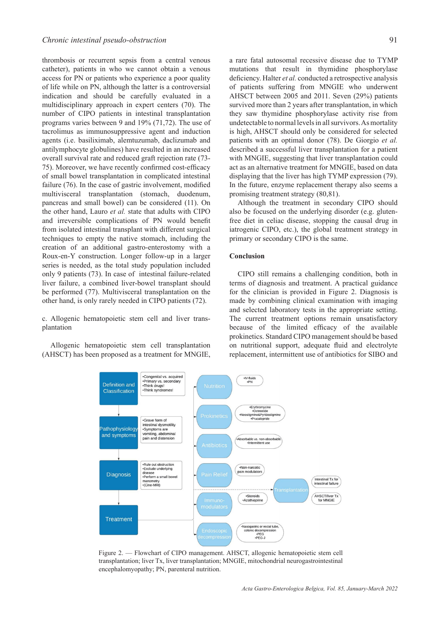thrombosis or recurrent sepsis from a central venous catheter), patients in who we cannot obtain a venous access for PN or patients who experience a poor quality of life while on PN, although the latter is a controversial indication and should be carefully evaluated in a multidisciplinary approach in expert centers (70). The number of CIPO patients in intestinal transplantation programs varies between 9 and 19% (71,72). The use of tacrolimus as immunosuppressive agent and induction agents (i.e. basiliximab, alemtuzumab, daclizumab and antilymphocyte globulines) have resulted in an increased overall survival rate and reduced graft rejection rate (73- 75). Moreover, we have recently confirmed cost-efficacy of small bowel transplantation in complicated intestinal failure (76). In the case of gastric involvement, modified multivisceral transplantation (stomach, duodenum, pancreas and small bowel) can be considered (11). On the other hand, Lauro *et al.* state that adults with CIPO and irreversible complications of PN would benefit from isolated intestinal transplant with different surgical techniques to empty the native stomach, including the creation of an additional gastro-enterostomy with a Roux-en-Y construction. Longer follow-up in a larger series is needed, as the total study population included only 9 patients (73). In case of intestinal failure-related liver failure, a combined liver-bowel transplant should be performed (77). Multivisceral transplantation on the other hand, is only rarely needed in CIPO patients (72).

c. Allogenic hematopoietic stem cell and liver transplantation

Allogenic hematopoietic stem cell transplantation (AHSCT) has been proposed as a treatment for MNGIE,

> Definition and Classification

.Congenital vs. acquired

•Congermanders. a<br>•Primary vs. seco<br>•Think drugs!

•Think syndromes

a rare fatal autosomal recessive disease due to TYMP mutations that result in thymidine phosphorylase deficiency. Halter *et al.* conducted a retrospective analysis of patients suffering from MNGIE who underwent AHSCT between 2005 and 2011. Seven (29%) patients survived more than 2 years after transplantation, in which they saw thymidine phosphorylase activity rise from undetectable to normal levels in all survivors. As mortality is high, AHSCT should only be considered for selected patients with an optimal donor (78). De Giorgio *et al.* described a successful liver transplantation for a patient with MNGIE, suggesting that liver transplantation could act as an alternative treatment for MNGIE, based on data displaying that the liver has high TYMP expression (79). In the future, enzyme replacement therapy also seems a promising treatment strategy (80,81).

Although the treatment in secondary CIPO should also be focused on the underlying disorder (e.g. glutenfree diet in celiac disease, stopping the causal drug in iatrogenic CIPO, etc.), the global treatment strategy in primary or secondary CIPO is the same.

# **Conclusion**

•IV-fluids<br>•PN

CIPO still remains a challenging condition, both in terms of diagnosis and treatment. A practical guidance for the clinician is provided in Figure 2. Diagnosis is made by combining clinical examination with imaging and selected laboratory tests in the appropriate setting. The current treatment options remain unsatisfactory because of the limited efficacy of the available prokinetics. Standard CIPO management should be based on nutritional support, adequate fluid and electrolyte replacement, intermittent use of antibiotics for SIBO and



transplantation; liver Tx, liver transplantation; MNGIE, mitochondrial neurogastrointestinal encephalomyopathy; PN, parenteral nutrition.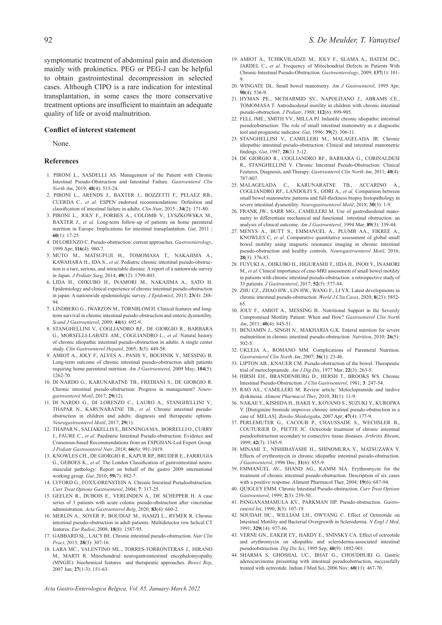symptomatic treatment of abdominal pain and distension mainly with prokinetics. PEG or PEG-J can be helpful to obtain gastrointestinal decompression in selected cases. Although CIPO is a rare indication for intestinal transplantation, in some cases the more conservative treatment options are insufficient to maintain an adequate quality of life or avoid malnutrition.

### **Conflict of interest statement**

None.

#### **References**

- 1. PIRONI L., SASDELLI AS. Management of the Patient with Chronic Intestinal Pseudo-Obstruction and Intestinal Failure. *Gastroenterol Clin North Am*, 2019; **48**(4): 513-24.
- 2. PIRONI L., ARENDS J., BAXTER J., BOZZETTI F., PELAEZ RB., CUERDA C., *et al*. ESPEN endorsed recommendations: Definition and classification of intestinal failure in adults. *Clin Nutr*, 2015 ; **34**(2): 171-80.
- 3. PIRONI L., JOLY F., FORBES A., COLOMB V., LYSZKOWSKA M., BAXTER J., *et al*. Long-term follow-up of patients on home parenteral nutrition in Europe: Implications for intestinal transplantation. *Gut*, 2011 ; **60**(1): 17-25.
- 4. DI LORENZO C. Pseudo-obstruction: current approaches. *Gastroenterology*, 1999 Apr; **116**(4): 980-7.
- 5. MUTO M., MATSUFUJI H., TOMOMASA T., NAKAJIMA A., KAWAHARA H., IDA S., *et al*. Pediatric chronic intestinal pseudo-obstruction is a rare, serious, and intractable disease: A report of a nationwide survey in Japan. *J Pediatr Surg*, 2014; **49**(12): 1799-803.
- 6. LIDA H., OHKUBO H., INAMORI M., NAKAJIMA A., SATO H. Epidemiology and clinical experience of chronic intestinal pseudo-obstruction in japan: A nationwide epidemiologic survey. *J Epidemiol*, 2013; **23**(4): 288- 94.
- 7. LINDBERG G., IWARZON M., TORNBLOM H. Clinical features and longterm survival in chronic intestinal pseudo-obstruction and enteric dysmotility. *Scand J Gastroenterol*, 2009; **44**(6): 692-9.
- 8. STANGHELLINI V., COGLIANDRO RF., DE GIORGIO R., BARBARA G., MORSELLI-LABATE AM., COGLIANDRO L., *et al*. Natural history of chronic idiopathic intestinal pseudo-obstruction in adults: A single center study. *Clin Gastroenterol Hepatol*, 2005; **3**(5): 449-58.
- 9. AMIOT A., JOLY F., ALVES A., PANIS Y., BOUHNIK Y., MESSING B. Long-term outcome of chronic intestinal pseudo-obstruction adult patients requiring home parenteral nutrition. *Am J Gastroenterol*, 2009 May; **104**(5): 1262-70.
- 10. DI NARDO G., KARUNARATNE TB., FREDIANI S., DE GIORGIO R. Chronic intestinal pseudo-obstruction: Progress in management? *Neurogastroenterol Motil*, 2017; **29**(12).
- 11. DI NARDO G., DI LORENZO C., LAURO A., STANGHELLINI V., THAPAR N., KARUNARATNE TB., *et al*. Chronic intestinal pseudoobstruction in children and adults: diagnosis and therapeutic options. *Neurogastroenterol Motil*, 2017; **29**(1).
- 12. THAPAR N., SALIAKELLIS E., BENNINGA MA., BORRELLI O., CURRY J., FAURE C., *et al*. Paediatric Intestinal Pseudo-obstruction: Evidence and Consensus-based Recommendations from an ESPGHAN-Led Expert Group. *J Pediatr Gastroenterol Nutr*, 2018; **66**(6): 991-1019.
- 13. KNOWLES CH., DE GIORGIO R., KAPUR RP., BRUDER E., FARRUGIA G., GEBOES K., *et al.* The London Classification of gastrointestinal neuromuscular pathology: Report on behalf of the gastro 2009 international working group. *Gut*, 2010; **59**(7): 882-7.
- 14. LYFORD G., FOXX-ORENSTEIN A. Chronic Intestinal Pseudoobstruction. *Curr Treat Options Gastroenterol*, 2004; **7**: 317-25.
- 15. GEELEN R., DUBOIS E., VERLINDEN A., DE SCHEPPER H. A case series of 3 patients with acute colonic pseudo-obstruction after vincristine administration. *Acta Gastroenterol Belg*, 2020; **83**(4): 660-2.
- 16. MERLIN A., SOYER P., BOUDIAF M., HAMZI L., RYMER R. Chronic intestinal pseudo-obstruction in adult patients: Multidetector row helical CT features. *Eur Radiol*, 2008; **18**(8): 1587-95.
- 17. GABBARD SL., LACY BE. Chronic intestinal pseudo-obstruction. *Nutr Clin Pract*, 2013; **28**(3): 307-16.
- 18. LARA MC., VALENTINO ML., TORRES-TORRONTERAS J., HIRANO M., MARTI R. Mitochondrial neurogastrointestinal encephalomyopathy (MNGIE): biochemical features and therapeutic approaches. *Biosci Rep*, 2007 Jun; **27**(1-3): 151-63.
- 19. AMIOT A., TCHIKVILADZE M., JOLY F., SLAMA A., HATEM DC., JARDEL C., *et al*. Frequency of Mitochondrial Defects in Patients With Chronic Intestinal Pseudo-Obstruction. *Gastroenterology*, 2009; **137**(1): 101- 9.
- 20. WINGATE DL. Small bowel manometry. *Am J Gastroenterol*, 1995 Apr; **90**(4): 536-9.
- 21. HYMAN PE., MCDIARMID SV., NAPOLITANO J., ABRAMS CE., TOMOMASA T. Antroduodenal motility in children with chronic intestinal pseudo-obstruction. *J Pediatr*, 1988; **112**(6): 899-905.
- 22. FELL JME., SMITH VV., MILLA PJ. Infantile chronic idiopathic intestinal pseudoobstruction: The role of small intestinal manometry as a diagnostic tool and prognostic indicator. *Gut*, 1996; **39**(2): 306-11.
- 23. STANGHELLINI V., CAMILLERI M., MALAGELADA JR. Chronic idiopathic intestinal pseudo-obstruction: Clinical and intestinal manometric findings. *Gut*, 1987; **28**(1): 5-12.
- 24. DE GIORGIO R., COGLIANDRO RF., BARBARA G., CORINALDESI R., STANGHELLINI V. Chronic Intestinal Pseudo-Obstruction: Clinical Features, Diagnosis, and Therapy. *Gastroenterol Clin North Am*, 2011; **40**(4): 787-807.
- 25. MALAGELADA C., KARUNARATNE TB., ACCARINO A., COGLIANDRO RF., LANDOLFI S., GORI A., *et al*. Comparison between small bowel manometric patterns and full-thickness biopsy histopathology in severe intestinal dysmotility. *Neurogastroenterol Motil*, 2018; **30**(3): 1-9.
- 26. FRANK JW., SARR MG., CAMILLERI M. Use of gastroduodenal manometry to differentiate mechanical and functional intestinal obstruction: an analysis of clinical outcome. *Am J Gastroenterol*, 1994 Mar; **89**(3): 339-44.
- 27. MENYS A., BUTT S., EMMANUEL A., PLUMB AA., FIKREE A., KNOWLES C, *et al*. Comparative quantitative assessment of global small bowel motility using magnetic resonance imaging in chronic intestinal pseudo-obstruction and healthy controls. *Neurogastroenterol Motil*, 2016; **28**(3): 376-83.
- 28. FUYUKI A., OHKUBO H., HIGURASHI T., IIDA H., INOH Y., INAMORI M., *et al*. Clinical importance of cine-MRI assessment of small bowel motility in patients with chronic intestinal pseudo-obstruction: a retrospective study of 33 patients. *J Gastroenterol*, 2017; **52**(5): 577-84.
- 29. ZHU CZ., ZHAO HW., LIN HW., WANG F., LI YX. Latest developments in chronic intestinal pseudo-obstruction. *World J Clin Cases*, 2020; **8**(23): 5852- 65.
- 30. JOLY F., AMIOT A., MESSING B.. Nutritional Support in the Severely Compromised Motility Patient: When and How? *Gastroenterol Clin North Am*, 2011; **40**(4): 845-51.
- 31. BENJAMIN J., SINGH N., MAKHARIA G.K. Enteral nutrition for severe malnutrition in chronic intestinal pseudo-obstruction. *Nutrition*, 2010; **26**(5): 502-5.
- 32. UKLEJA A., ROMANO MM. Complications of Parenteral Nutrition. *Gastroenterol Clin North Am*, 2007; **36**(1): 23-46.
- 33. LIPTON AB., KNAUER CM. Pseudo-obstruction of the bowel. Therapeutic trial of metoclopramide. *Am J Dig Dis*, 1977 Mar; **22**(3): 263-5.
- 34. HIRSH EH., BRANDENBURG D., HERSH T., BROOKS WS. Chronic Intestinal Pseudo-Obstruction. *J Clin Gastroenterol*, 1981; **3**: 247-54.
- 35. RAO AS., CAMILLERI M. Review article: Metoclopramide and tardive dyskinesia. *Aliment Pharmacol Ther*, 2010; **31**(1): 11-9.
- 36. NAKAE Y., KISHIDA H., HAKII Y., KOYANO S., SUZUKI Y., KUROIWA Y. [Distigmine bromide improves chronic intestinal pseudo-obstruction in a case of MELAS]. *Rinsho Shinkeigaku*, 2007 Apr; **47**(4): 177-9.
- 37. PERLEMUTER G., CACOUB P., CHAUSSADE S., WECHSLER B., COUTURIER D., PIETTE JC. Octreotide treatment of chronic intestinal pseudoobstruction secondary to connective tissue diseases. *Arthritis Rheum*, 1999; **42**(7): 1545-9.
- 38. MINAMI T., NISHIBAYASHI H., SHINOMURA Y., MATSUZAWA Y. Effects of erythromycin in chronic idiopathic intestinal pseudo-obstruction. *J Gastroenterol*, 1996 Dec; **31**(6): 855-9.
- 39. EMMANUEL AV., SHAND AG., KAMM MA. Erythromycin for the treatment of chronic intestinal pseudo-obstruction: Description of six cases with a positive response. Aliment Pharmacol Ther, 2004; **19**(6): 687-94.
- 40. QUIGLEY EMM. Chronic Intestinal Pseudo-obstruction. *Curr Treat Options Gastroenterol*, 1999; **2**(3): 239-50.
- 41. PANGANAMAMULA KV., PARKMAN HP. Pseudo-obstruction. *Gastroenterol Int*, 1990; **3**(3): 107-19.
- 42. SOUDAH HC., WILLIAM LH., OWYANG C. Effect of Octreotide on Intestinal Motility and Bacterial Overgrowth in Scleroderma. *N Engl J Med*, 1991; **329**(14): 977-86.
- 43. VERNE GN., EAKER EY., HARDY E., SNINSKY CA. Effect of octreotide and erythromycin on idiopathic and scleroderma-associated intestinal pseudoobstruction. *Dig Dis Sci*, 1995 Sep; **40**(9): 1892-901.
- 44. SHARMA S, GHOSHAL UC., BHAT G., CHOUDHURI G. Gastric adenocarcinoma presenting with intestinal pseudoobstruction, successfully treated with octreotide. Indian J Med Sci, 2006 Nov; **60**(11): 467-70.